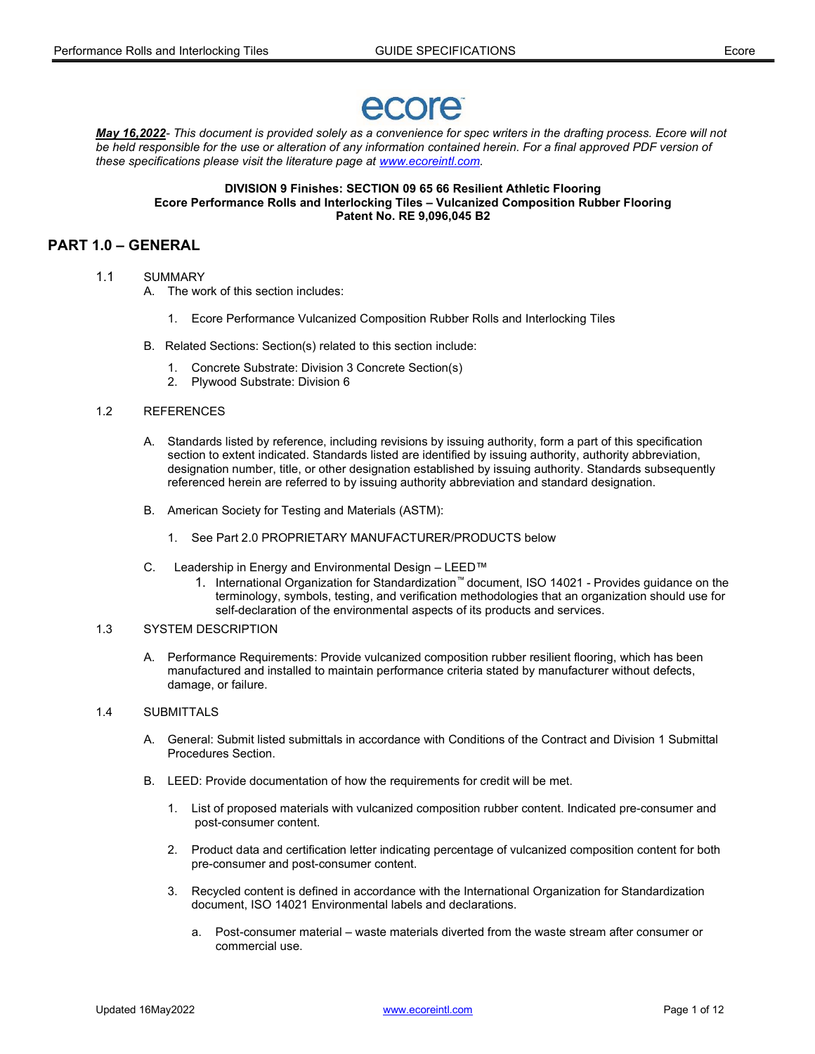# ecore

May 16,2022- This document is provided solely as a convenience for spec writers in the drafting process. Ecore will not be held responsible for the use or alteration of any information contained herein. For a final approved PDF version of these specifications please visit the literature page at www.ecoreintl.com.

DIVISION 9 Finishes: SECTION 09 65 66 Resilient Athletic Flooring Ecore Performance Rolls and Interlocking Tiles – Vulcanized Composition Rubber Flooring Patent No. RE 9,096,045 B2

# PART 1.0 – GENERAL

- 1.1 SUMMARY
	- A. The work of this section includes:
		- 1. Ecore Performance Vulcanized Composition Rubber Rolls and Interlocking Tiles
	- B. Related Sections: Section(s) related to this section include:
		- 1. Concrete Substrate: Division 3 Concrete Section(s)
		- 2. Plywood Substrate: Division 6
- 1.2 REFERENCES
	- A. Standards listed by reference, including revisions by issuing authority, form a part of this specification section to extent indicated. Standards listed are identified by issuing authority, authority abbreviation, designation number, title, or other designation established by issuing authority. Standards subsequently referenced herein are referred to by issuing authority abbreviation and standard designation.
	- B. American Society for Testing and Materials (ASTM):
		- 1. See Part 2.0 PROPRIETARY MANUFACTURER/PRODUCTS below
	- C. Leadership in Energy and Environmental Design LEED™
		- 1. International Organization for Standardization™ document, ISO 14021 Provides guidance on the terminology, symbols, testing, and verification methodologies that an organization should use for self-declaration of the environmental aspects of its products and services.

#### 1.3 SYSTEM DESCRIPTION

 A. Performance Requirements: Provide vulcanized composition rubber resilient flooring, which has been manufactured and installed to maintain performance criteria stated by manufacturer without defects, damage, or failure.

#### 1.4 SUBMITTALS

- A. General: Submit listed submittals in accordance with Conditions of the Contract and Division 1 Submittal Procedures Section.
- B. LEED: Provide documentation of how the requirements for credit will be met.
	- 1. List of proposed materials with vulcanized composition rubber content. Indicated pre-consumer and post-consumer content.
	- 2. Product data and certification letter indicating percentage of vulcanized composition content for both pre-consumer and post-consumer content.
	- 3. Recycled content is defined in accordance with the International Organization for Standardization document, ISO 14021 Environmental labels and declarations.
		- a. Post-consumer material waste materials diverted from the waste stream after consumer or commercial use.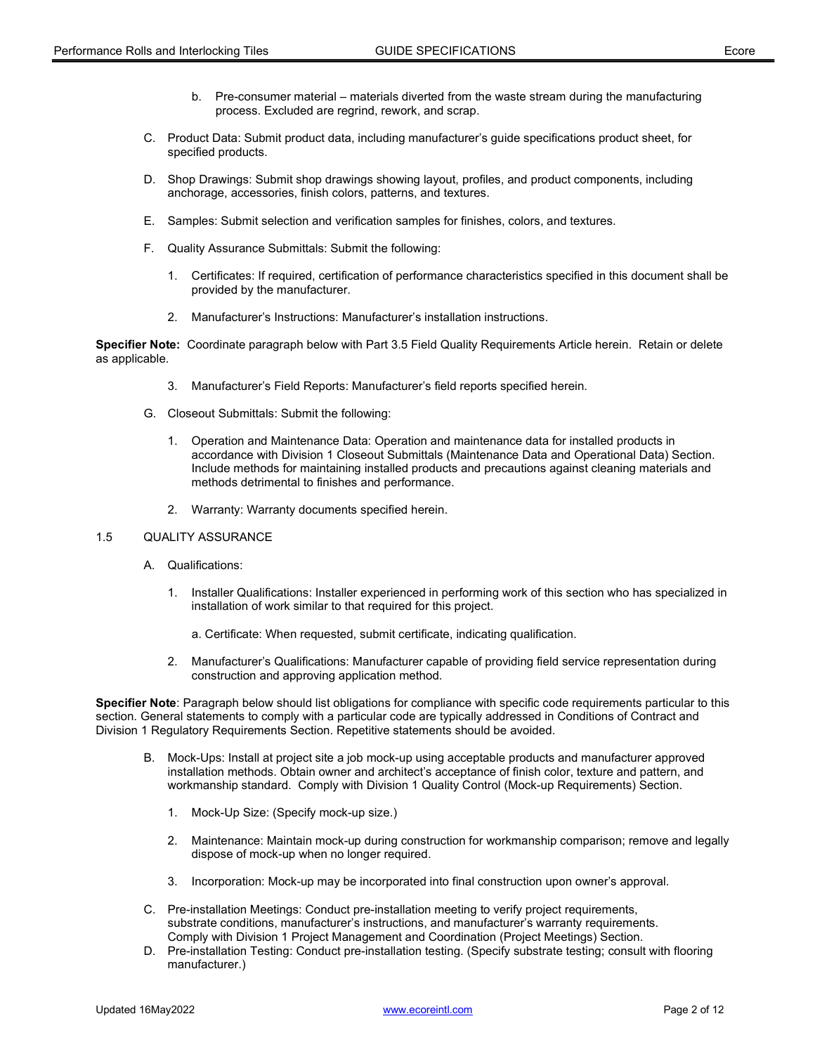- b. Pre-consumer material materials diverted from the waste stream during the manufacturing process. Excluded are regrind, rework, and scrap.
- C. Product Data: Submit product data, including manufacturer's guide specifications product sheet, for specified products.
- D. Shop Drawings: Submit shop drawings showing layout, profiles, and product components, including anchorage, accessories, finish colors, patterns, and textures.
- E. Samples: Submit selection and verification samples for finishes, colors, and textures.
- F. Quality Assurance Submittals: Submit the following:
	- 1. Certificates: If required, certification of performance characteristics specified in this document shall be provided by the manufacturer.
	- 2. Manufacturer's Instructions: Manufacturer's installation instructions.

Specifier Note: Coordinate paragraph below with Part 3.5 Field Quality Requirements Article herein. Retain or delete as applicable.

- 3. Manufacturer's Field Reports: Manufacturer's field reports specified herein.
- G. Closeout Submittals: Submit the following:
	- 1. Operation and Maintenance Data: Operation and maintenance data for installed products in accordance with Division 1 Closeout Submittals (Maintenance Data and Operational Data) Section. Include methods for maintaining installed products and precautions against cleaning materials and methods detrimental to finishes and performance.
	- 2. Warranty: Warranty documents specified herein.

#### 1.5 QUALITY ASSURANCE

- A. Qualifications:
	- 1. Installer Qualifications: Installer experienced in performing work of this section who has specialized in installation of work similar to that required for this project.
		- a. Certificate: When requested, submit certificate, indicating qualification.
	- 2. Manufacturer's Qualifications: Manufacturer capable of providing field service representation during construction and approving application method.

Specifier Note: Paragraph below should list obligations for compliance with specific code requirements particular to this section. General statements to comply with a particular code are typically addressed in Conditions of Contract and Division 1 Regulatory Requirements Section. Repetitive statements should be avoided.

- B. Mock-Ups: Install at project site a job mock-up using acceptable products and manufacturer approved installation methods. Obtain owner and architect's acceptance of finish color, texture and pattern, and workmanship standard. Comply with Division 1 Quality Control (Mock-up Requirements) Section.
	- 1. Mock-Up Size: (Specify mock-up size.)
	- 2. Maintenance: Maintain mock-up during construction for workmanship comparison; remove and legally dispose of mock-up when no longer required.
	- 3. Incorporation: Mock-up may be incorporated into final construction upon owner's approval.
- C. Pre-installation Meetings: Conduct pre-installation meeting to verify project requirements, substrate conditions, manufacturer's instructions, and manufacturer's warranty requirements. Comply with Division 1 Project Management and Coordination (Project Meetings) Section.
- D. Pre-installation Testing: Conduct pre-installation testing. (Specify substrate testing; consult with flooring manufacturer.)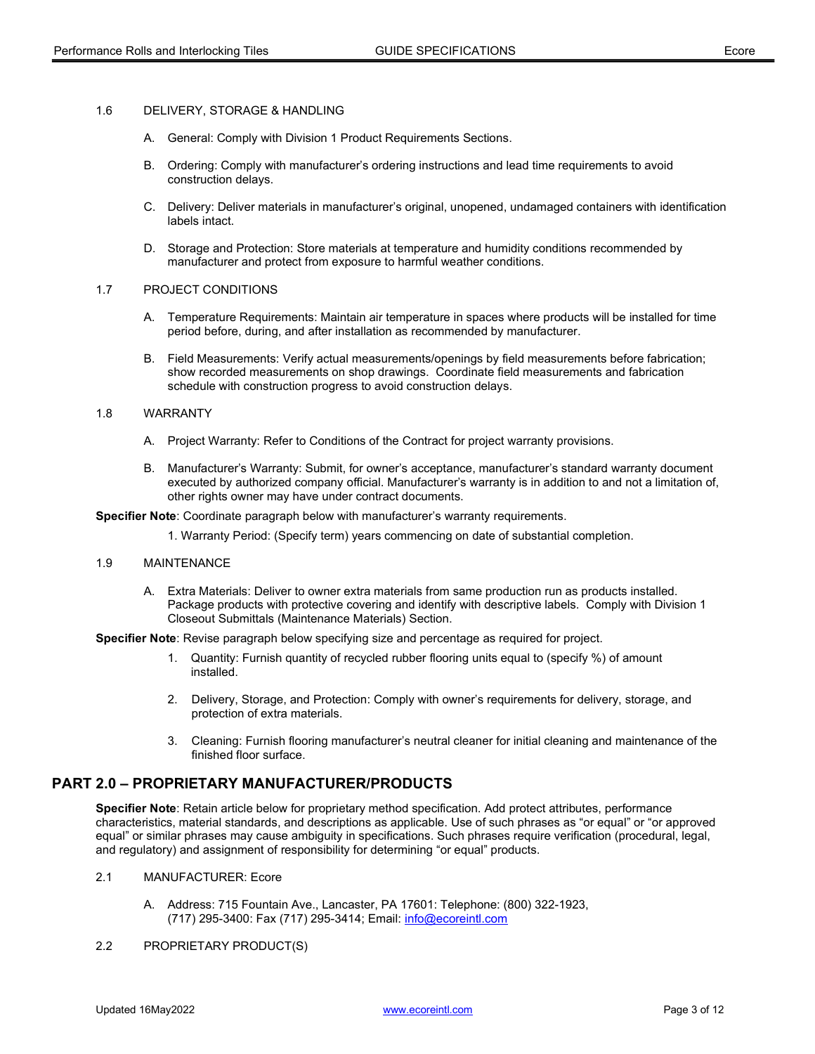#### 1.6 DELIVERY, STORAGE & HANDLING

- A. General: Comply with Division 1 Product Requirements Sections.
- B. Ordering: Comply with manufacturer's ordering instructions and lead time requirements to avoid construction delays.
- C. Delivery: Deliver materials in manufacturer's original, unopened, undamaged containers with identification labels intact.
- D. Storage and Protection: Store materials at temperature and humidity conditions recommended by manufacturer and protect from exposure to harmful weather conditions.

#### 1.7 PROJECT CONDITIONS

- A. Temperature Requirements: Maintain air temperature in spaces where products will be installed for time period before, during, and after installation as recommended by manufacturer.
- B. Field Measurements: Verify actual measurements/openings by field measurements before fabrication; show recorded measurements on shop drawings. Coordinate field measurements and fabrication schedule with construction progress to avoid construction delays.

#### 1.8 WARRANTY

- A. Project Warranty: Refer to Conditions of the Contract for project warranty provisions.
- B. Manufacturer's Warranty: Submit, for owner's acceptance, manufacturer's standard warranty document executed by authorized company official. Manufacturer's warranty is in addition to and not a limitation of, other rights owner may have under contract documents.

Specifier Note: Coordinate paragraph below with manufacturer's warranty requirements.

1. Warranty Period: (Specify term) years commencing on date of substantial completion.

#### 1.9 MAINTENANCE

 A. Extra Materials: Deliver to owner extra materials from same production run as products installed. Package products with protective covering and identify with descriptive labels. Comply with Division 1 Closeout Submittals (Maintenance Materials) Section.

Specifier Note: Revise paragraph below specifying size and percentage as required for project.

- 1. Quantity: Furnish quantity of recycled rubber flooring units equal to (specify %) of amount installed.
- 2. Delivery, Storage, and Protection: Comply with owner's requirements for delivery, storage, and protection of extra materials.
- 3. Cleaning: Furnish flooring manufacturer's neutral cleaner for initial cleaning and maintenance of the finished floor surface.

# PART 2.0 – PROPRIETARY MANUFACTURER/PRODUCTS

Specifier Note: Retain article below for proprietary method specification. Add protect attributes, performance characteristics, material standards, and descriptions as applicable. Use of such phrases as "or equal" or "or approved equal" or similar phrases may cause ambiguity in specifications. Such phrases require verification (procedural, legal, and regulatory) and assignment of responsibility for determining "or equal" products.

- 2.1 MANUFACTURER: Ecore
	- A. Address: 715 Fountain Ave., Lancaster, PA 17601: Telephone: (800) 322-1923, (717) 295-3400: Fax (717) 295-3414; Email: info@ecoreintl.com
- 2.2 PROPRIETARY PRODUCT(S)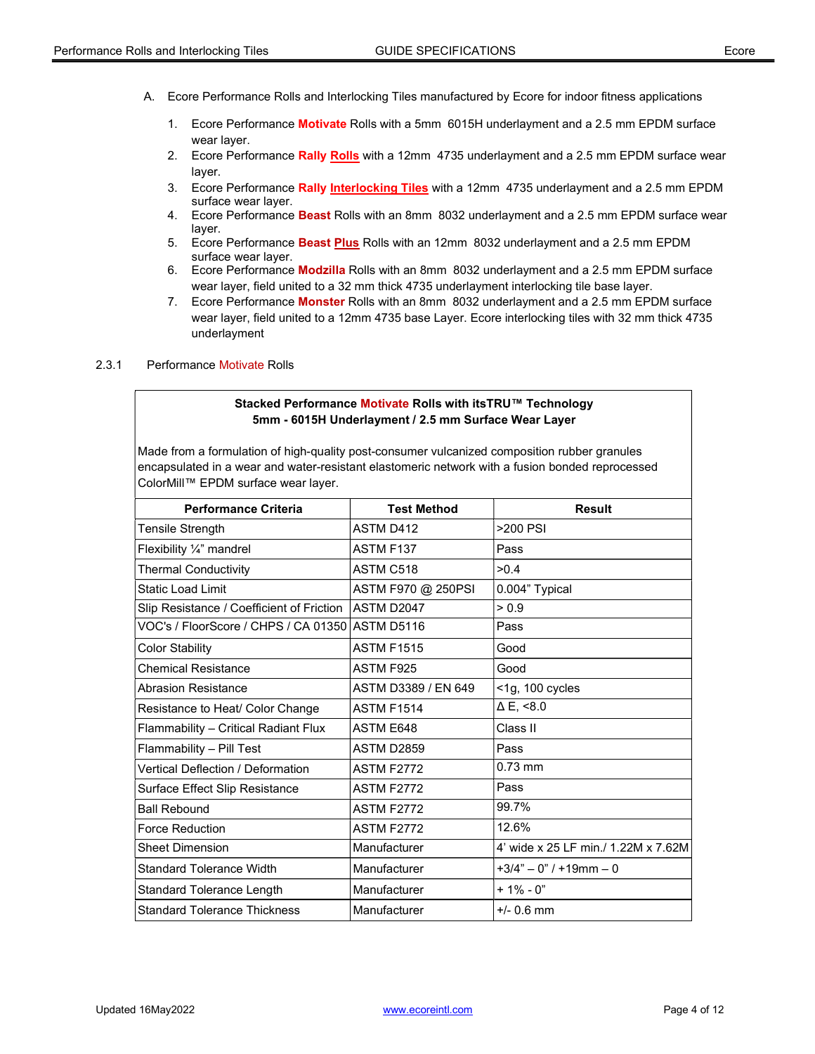- A. Ecore Performance Rolls and Interlocking Tiles manufactured by Ecore for indoor fitness applications
	- 1. Ecore Performance Motivate Rolls with a 5mm 6015H underlayment and a 2.5 mm EPDM surface wear layer.
	- 2. Ecore Performance Rally Rolls with a 12mm 4735 underlayment and a 2.5 mm EPDM surface wear layer.
	- 3. Ecore Performance Rally Interlocking Tiles with a 12mm 4735 underlayment and a 2.5 mm EPDM surface wear layer.
	- 4. Ecore Performance Beast Rolls with an 8mm 8032 underlayment and a 2.5 mm EPDM surface wear layer.
	- 5. Ecore Performance Beast Plus Rolls with an 12mm 8032 underlayment and a 2.5 mm EPDM surface wear layer.
	- 6. Ecore Performance Modzilla Rolls with an 8mm 8032 underlayment and a 2.5 mm EPDM surface wear layer, field united to a 32 mm thick 4735 underlayment interlocking tile base layer.
	- 7. Ecore Performance Monster Rolls with an 8mm 8032 underlayment and a 2.5 mm EPDM surface wear layer, field united to a 12mm 4735 base Layer. Ecore interlocking tiles with 32 mm thick 4735 underlayment

#### 2.3.1 Performance Motivate Rolls

#### Stacked Performance Motivate Rolls with itsTRU™ Technology 5mm - 6015H Underlayment / 2.5 mm Surface Wear Layer

| <b>Performance Criteria</b>                            | <b>Test Method</b>  | <b>Result</b>                       |
|--------------------------------------------------------|---------------------|-------------------------------------|
| Tensile Strength                                       | <b>ASTM D412</b>    | >200 PSI                            |
| Flexibility 1/4" mandrel                               | ASTM F137           | Pass                                |
| <b>Thermal Conductivity</b>                            | ASTM C518           | >0.4                                |
| Static Load Limit                                      | ASTM F970 @ 250PSI  | 0.004" Typical                      |
| Slip Resistance / Coefficient of Friction   ASTM D2047 |                     | > 0.9                               |
| VOC's / FloorScore / CHPS / CA 01350 ASTM D5116        |                     | Pass                                |
| <b>Color Stability</b>                                 | <b>ASTM F1515</b>   | Good                                |
| <b>Chemical Resistance</b>                             | ASTM F925           | Good                                |
| <b>Abrasion Resistance</b>                             | ASTM D3389 / EN 649 | <1g, 100 cycles                     |
| Resistance to Heat/ Color Change                       | <b>ASTM F1514</b>   | $\Delta$ E, <8.0                    |
| Flammability - Critical Radiant Flux                   | ASTM E648           | Class II                            |
| Flammability - Pill Test                               | ASTM D2859          | Pass                                |
| <b>Vertical Deflection / Deformation</b>               | <b>ASTM F2772</b>   | $0.73$ mm                           |
| Surface Effect Slip Resistance                         | <b>ASTM F2772</b>   | Pass                                |
| <b>Ball Rebound</b>                                    | <b>ASTM F2772</b>   | 99.7%                               |
| <b>Force Reduction</b>                                 | <b>ASTM F2772</b>   | 12.6%                               |
| <b>Sheet Dimension</b>                                 | Manufacturer        | 4' wide x 25 LF min./ 1.22M x 7.62M |
| <b>Standard Tolerance Width</b>                        | Manufacturer        | $+3/4" - 0" / +19mm - 0$            |
| <b>Standard Tolerance Length</b>                       | Manufacturer        | $+1\% - 0$ "                        |
| <b>Standard Tolerance Thickness</b>                    | Manufacturer        | $+/- 0.6$ mm                        |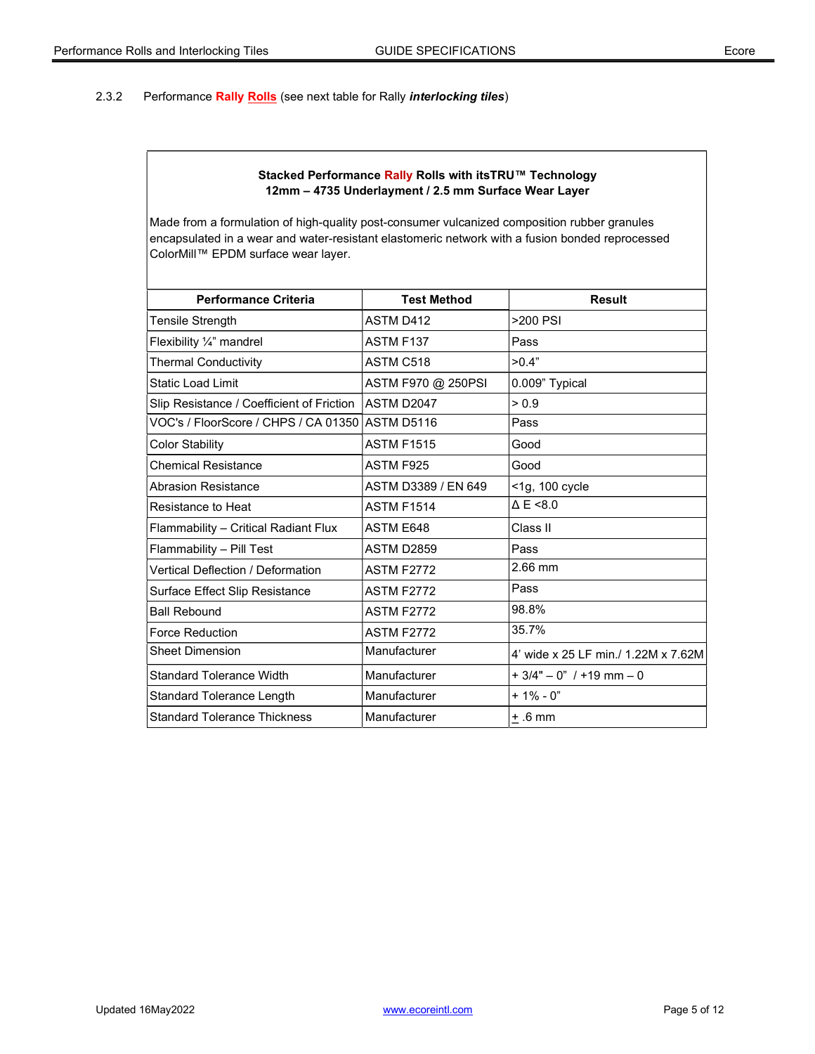# 2.3.2 Performance Rally Rolls (see next table for Rally *interlocking tiles*)

### Stacked Performance Rally Rolls with itsTRU™ Technology 12mm – 4735 Underlayment / 2.5 mm Surface Wear Layer

| <b>Performance Criteria</b>                     | <b>Test Method</b>  | <b>Result</b>                       |
|-------------------------------------------------|---------------------|-------------------------------------|
| Tensile Strength                                | ASTM D412           | >200 PSI                            |
| Flexibility 1/4" mandrel                        | ASTM F137           | Pass                                |
| <b>Thermal Conductivity</b>                     | ASTM C518           | >0.4"                               |
| <b>Static Load Limit</b>                        | ASTM F970 @ 250PSI  | 0.009" Typical                      |
| Slip Resistance / Coefficient of Friction       | ASTM D2047          | > 0.9                               |
| VOC's / FloorScore / CHPS / CA 01350 ASTM D5116 |                     | Pass                                |
| <b>Color Stability</b>                          | <b>ASTM F1515</b>   | Good                                |
| <b>Chemical Resistance</b>                      | ASTM F925           | Good                                |
| <b>Abrasion Resistance</b>                      | ASTM D3389 / EN 649 | <1g, 100 cycle                      |
| Resistance to Heat                              | <b>ASTM F1514</b>   | $\triangle E \le 8.0$               |
| Flammability - Critical Radiant Flux            | ASTM E648           | Class II                            |
| Flammability - Pill Test                        | <b>ASTM D2859</b>   | Pass                                |
| Vertical Deflection / Deformation               | <b>ASTM F2772</b>   | 2.66 mm                             |
| Surface Effect Slip Resistance                  | <b>ASTM F2772</b>   | Pass                                |
| <b>Ball Rebound</b>                             | <b>ASTM F2772</b>   | 98.8%                               |
| <b>Force Reduction</b>                          | <b>ASTM F2772</b>   | 35.7%                               |
| <b>Sheet Dimension</b>                          | Manufacturer        | 4' wide x 25 LF min./ 1.22M x 7.62M |
| <b>Standard Tolerance Width</b>                 | Manufacturer        | $+3/4" - 0"$ / +19 mm - 0           |
| Standard Tolerance Length                       | Manufacturer        | $+1\% - 0$ "                        |
| <b>Standard Tolerance Thickness</b>             | Manufacturer        | $+.6$ mm                            |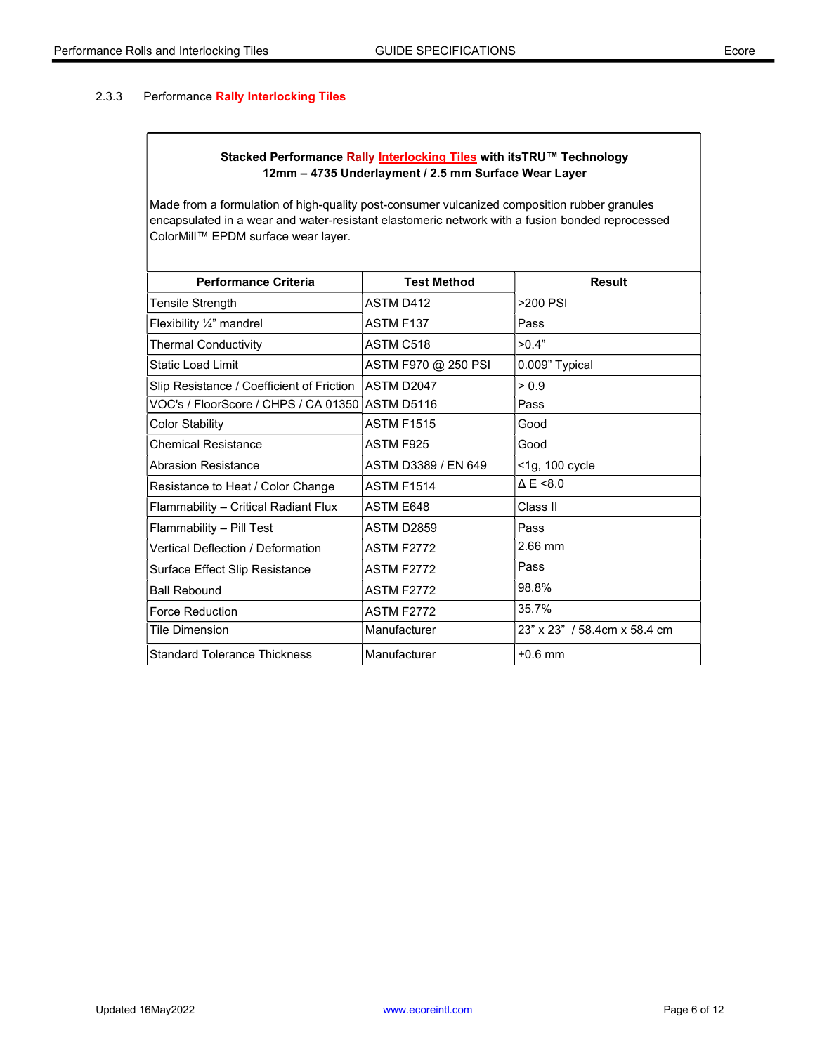# 2.3.3 Performance Rally Interlocking Tiles

# Stacked Performance Rally Interlocking Tiles with itsTRU™ Technology 12mm – 4735 Underlayment / 2.5 mm Surface Wear Layer

| <b>Performance Criteria</b>                     | <b>Test Method</b>  | Result                       |
|-------------------------------------------------|---------------------|------------------------------|
| Tensile Strength                                | ASTM D412           | >200 PSI                     |
| Flexibility 1/4" mandrel                        | ASTM F137           | Pass                         |
| <b>Thermal Conductivity</b>                     | ASTM C518           | >0.4"                        |
| Static Load Limit                               | ASTM F970 @ 250 PSI | 0.009" Typical               |
| Slip Resistance / Coefficient of Friction       | ASTM D2047          | > 0.9                        |
| VOC's / FloorScore / CHPS / CA 01350 ASTM D5116 |                     | Pass                         |
| <b>Color Stability</b>                          | <b>ASTM F1515</b>   | Good                         |
| <b>Chemical Resistance</b>                      | ASTM F925           | Good                         |
| <b>Abrasion Resistance</b>                      | ASTM D3389 / EN 649 | <1g, 100 cycle               |
| Resistance to Heat / Color Change               | <b>ASTM F1514</b>   | $\triangle E \le 8.0$        |
| Flammability - Critical Radiant Flux            | <b>ASTM E648</b>    | Class II                     |
| Flammability - Pill Test                        | ASTM D2859          | Pass                         |
| <b>Vertical Deflection / Deformation</b>        | <b>ASTM F2772</b>   | $2.66$ mm                    |
| Surface Effect Slip Resistance                  | <b>ASTM F2772</b>   | Pass                         |
| <b>Ball Rebound</b>                             | <b>ASTM F2772</b>   | 98.8%                        |
| <b>Force Reduction</b>                          | <b>ASTM F2772</b>   | 35.7%                        |
| Tile Dimension                                  | Manufacturer        | 23" x 23" / 58.4cm x 58.4 cm |
| <b>Standard Tolerance Thickness</b>             | Manufacturer        | $+0.6$ mm                    |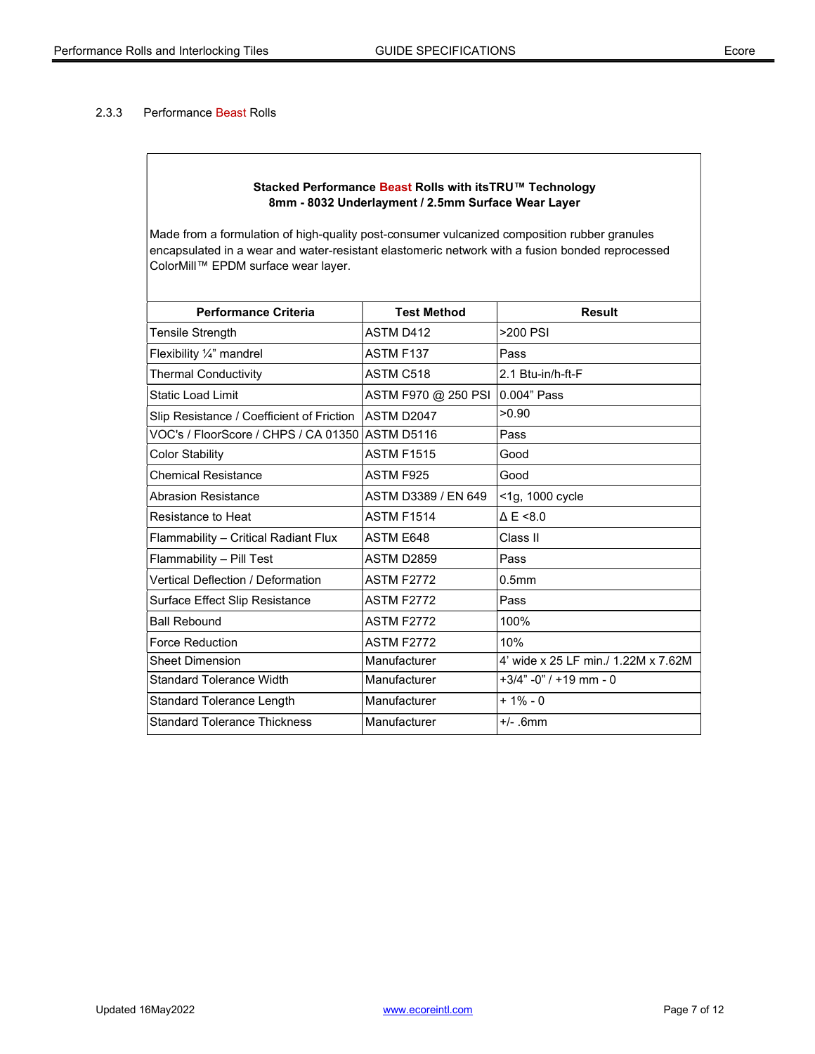#### 2.3.3 Performance Beast Rolls

### Stacked Performance Beast Rolls with itsTRU™ Technology 8mm - 8032 Underlayment / 2.5mm Surface Wear Layer

| <b>Performance Criteria</b>               | <b>Test Method</b>  | <b>Result</b>                       |
|-------------------------------------------|---------------------|-------------------------------------|
| Tensile Strength                          | ASTM D412           | $>200$ PSI                          |
| Flexibility 1/4" mandrel                  | ASTM F137           | Pass                                |
| <b>Thermal Conductivity</b>               | ASTM C518           | 2.1 Btu-in/h-ft-F                   |
| <b>Static Load Limit</b>                  | ASTM F970 @ 250 PSI | 0.004" Pass                         |
| Slip Resistance / Coefficient of Friction | ASTM D2047          | >0.90                               |
| VOC's / FloorScore / CHPS / CA 01350      | ASTM D5116          | Pass                                |
| <b>Color Stability</b>                    | <b>ASTM F1515</b>   | Good                                |
| <b>Chemical Resistance</b>                | ASTM F925           | Good                                |
| <b>Abrasion Resistance</b>                | ASTM D3389 / EN 649 | <1g, 1000 cycle                     |
| Resistance to Heat                        | <b>ASTM F1514</b>   | $\triangle E \le 8.0$               |
| Flammability - Critical Radiant Flux      | ASTM E648           | Class II                            |
| Flammability - Pill Test                  | <b>ASTM D2859</b>   | Pass                                |
| <b>Vertical Deflection / Deformation</b>  | <b>ASTM F2772</b>   | 0.5 <sub>mm</sub>                   |
| Surface Effect Slip Resistance            | <b>ASTM F2772</b>   | Pass                                |
| <b>Ball Rebound</b>                       | <b>ASTM F2772</b>   | 100%                                |
| <b>Force Reduction</b>                    | <b>ASTM F2772</b>   | 10%                                 |
| <b>Sheet Dimension</b>                    | Manufacturer        | 4' wide x 25 LF min./ 1.22M x 7.62M |
| <b>Standard Tolerance Width</b>           | Manufacturer        | $+3/4$ " -0" / +19 mm - 0           |
| Standard Tolerance Length                 | Manufacturer        | $+1\% - 0$                          |
| <b>Standard Tolerance Thickness</b>       | Manufacturer        | $+/-$ .6mm                          |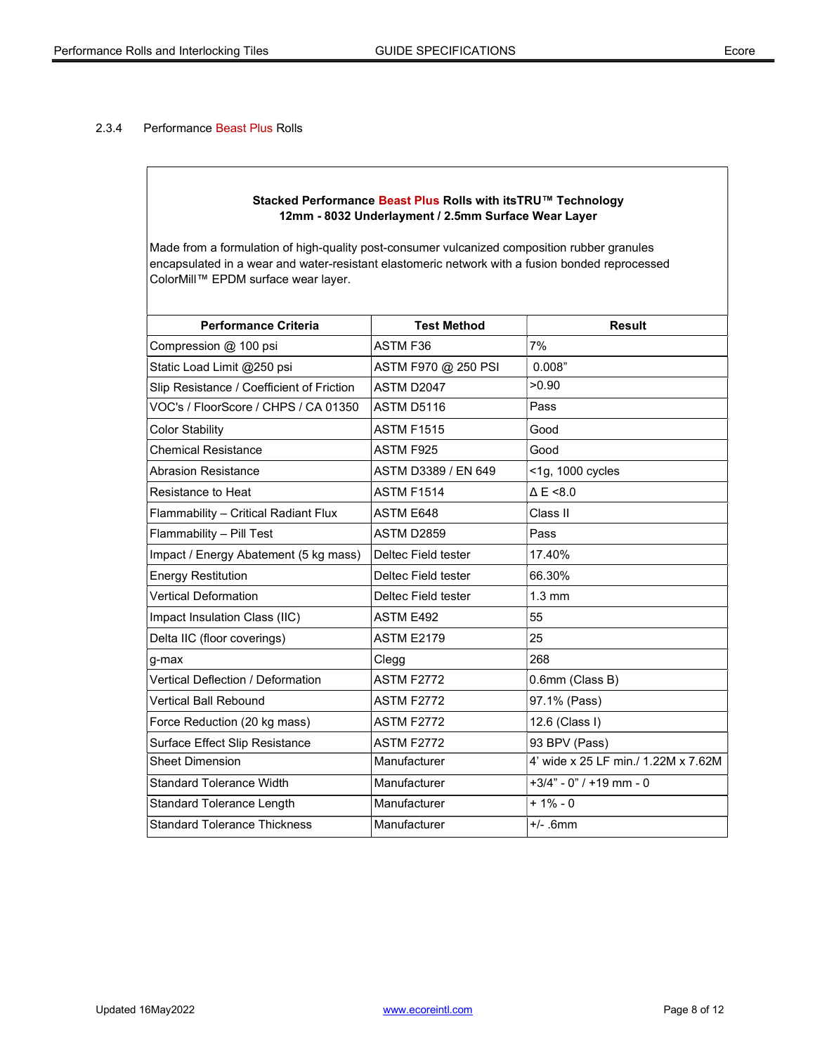# 2.3.4 Performance Beast Plus Rolls

### Stacked Performance Beast Plus Rolls with itsTRU™ Technology 12mm - 8032 Underlayment / 2.5mm Surface Wear Layer

| <b>Performance Criteria</b>               | <b>Test Method</b>  | <b>Result</b>                       |
|-------------------------------------------|---------------------|-------------------------------------|
| Compression @ 100 psi                     | <b>ASTM F36</b>     | 7%                                  |
| Static Load Limit @250 psi                | ASTM F970 @ 250 PSI | 0.008"                              |
| Slip Resistance / Coefficient of Friction | ASTM D2047          | >0.90                               |
| VOC's / FloorScore / CHPS / CA 01350      | ASTM D5116          | Pass                                |
| <b>Color Stability</b>                    | <b>ASTM F1515</b>   | Good                                |
| <b>Chemical Resistance</b>                | ASTM F925           | Good                                |
| <b>Abrasion Resistance</b>                | ASTM D3389 / EN 649 | <1g, 1000 cycles                    |
| Resistance to Heat                        | <b>ASTM F1514</b>   | $\triangle E \le 8.0$               |
| Flammability - Critical Radiant Flux      | <b>ASTM E648</b>    | Class II                            |
| Flammability - Pill Test                  | <b>ASTM D2859</b>   | Pass                                |
| Impact / Energy Abatement (5 kg mass)     | Deltec Field tester | 17.40%                              |
| <b>Energy Restitution</b>                 | Deltec Field tester | 66.30%                              |
| <b>Vertical Deformation</b>               | Deltec Field tester | $1.3 \text{ mm}$                    |
| Impact Insulation Class (IIC)             | ASTM E492           | 55                                  |
| Delta IIC (floor coverings)               | <b>ASTM E2179</b>   | 25                                  |
| g-max                                     | Clegg               | 268                                 |
| Vertical Deflection / Deformation         | <b>ASTM F2772</b>   | 0.6mm (Class B)                     |
| Vertical Ball Rebound                     | <b>ASTM F2772</b>   | 97.1% (Pass)                        |
| Force Reduction (20 kg mass)              | <b>ASTM F2772</b>   | 12.6 (Class I)                      |
| Surface Effect Slip Resistance            | <b>ASTM F2772</b>   | 93 BPV (Pass)                       |
| <b>Sheet Dimension</b>                    | Manufacturer        | 4' wide x 25 LF min./ 1.22M x 7.62M |
| <b>Standard Tolerance Width</b>           | Manufacturer        | $+3/4" - 0" / +19$ mm - 0           |
| <b>Standard Tolerance Length</b>          | Manufacturer        | $+1\% - 0$                          |
| <b>Standard Tolerance Thickness</b>       | Manufacturer        | $+/-$ .6mm                          |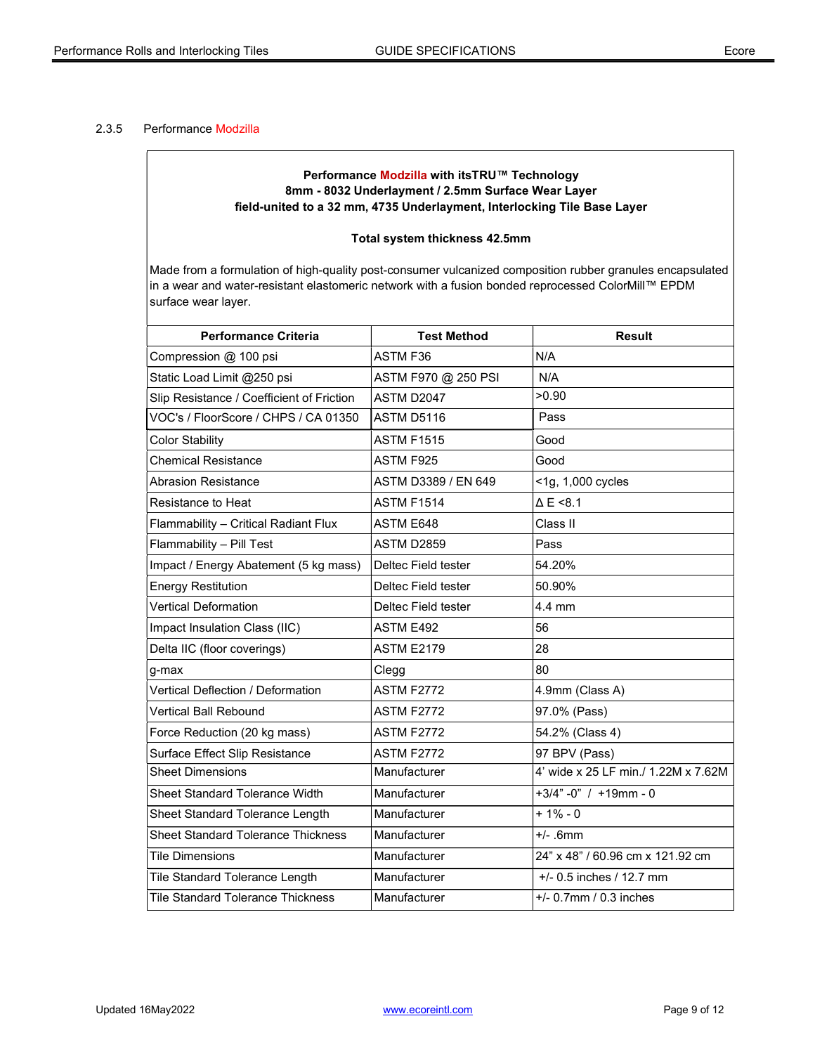#### 2.3.5 Performance Modzilla

## Performance Modzilla with itsTRU™ Technology 8mm - 8032 Underlayment / 2.5mm Surface Wear Layer field-united to a 32 mm, 4735 Underlayment, Interlocking Tile Base Layer

#### Total system thickness 42.5mm

| <b>Performance Criteria</b>               | <b>Test Method</b>  | <b>Result</b>                       |
|-------------------------------------------|---------------------|-------------------------------------|
| Compression @ 100 psi                     | ASTM F36            | N/A                                 |
| Static Load Limit @250 psi                | ASTM F970 @ 250 PSI | N/A                                 |
| Slip Resistance / Coefficient of Friction | ASTM D2047          | >0.90                               |
| VOC's / FloorScore / CHPS / CA 01350      | ASTM D5116          | Pass                                |
| <b>Color Stability</b>                    | <b>ASTM F1515</b>   | Good                                |
| <b>Chemical Resistance</b>                | ASTM F925           | Good                                |
| <b>Abrasion Resistance</b>                | ASTM D3389 / EN 649 | <1g, 1,000 cycles                   |
| Resistance to Heat                        | <b>ASTM F1514</b>   | $\triangle E \le 8.1$               |
| Flammability - Critical Radiant Flux      | ASTM E648           | Class II                            |
| Flammability - Pill Test                  | <b>ASTM D2859</b>   | Pass                                |
| Impact / Energy Abatement (5 kg mass)     | Deltec Field tester | 54.20%                              |
| <b>Energy Restitution</b>                 | Deltec Field tester | 50.90%                              |
| <b>Vertical Deformation</b>               | Deltec Field tester | 4.4 mm                              |
| Impact Insulation Class (IIC)             | <b>ASTM E492</b>    | 56                                  |
| Delta IIC (floor coverings)               | <b>ASTM E2179</b>   | 28                                  |
| g-max                                     | Clegg               | 80                                  |
| <b>Vertical Deflection / Deformation</b>  | <b>ASTM F2772</b>   | 4.9mm (Class A)                     |
| <b>Vertical Ball Rebound</b>              | <b>ASTM F2772</b>   | 97.0% (Pass)                        |
| Force Reduction (20 kg mass)              | <b>ASTM F2772</b>   | 54.2% (Class 4)                     |
| Surface Effect Slip Resistance            | <b>ASTM F2772</b>   | 97 BPV (Pass)                       |
| <b>Sheet Dimensions</b>                   | Manufacturer        | 4' wide x 25 LF min./ 1.22M x 7.62M |
| Sheet Standard Tolerance Width            | Manufacturer        | $+3/4" -0" / +19mm - 0$             |
| Sheet Standard Tolerance Length           | Manufacturer        | $+1% - 0$                           |
| <b>Sheet Standard Tolerance Thickness</b> | Manufacturer        | $+/- .6$ mm                         |
| <b>Tile Dimensions</b>                    | Manufacturer        | 24" x 48" / 60.96 cm x 121.92 cm    |
| Tile Standard Tolerance Length            | Manufacturer        | $+/- 0.5$ inches / 12.7 mm          |
| <b>Tile Standard Tolerance Thickness</b>  | Manufacturer        | $+/- 0.7$ mm / 0.3 inches           |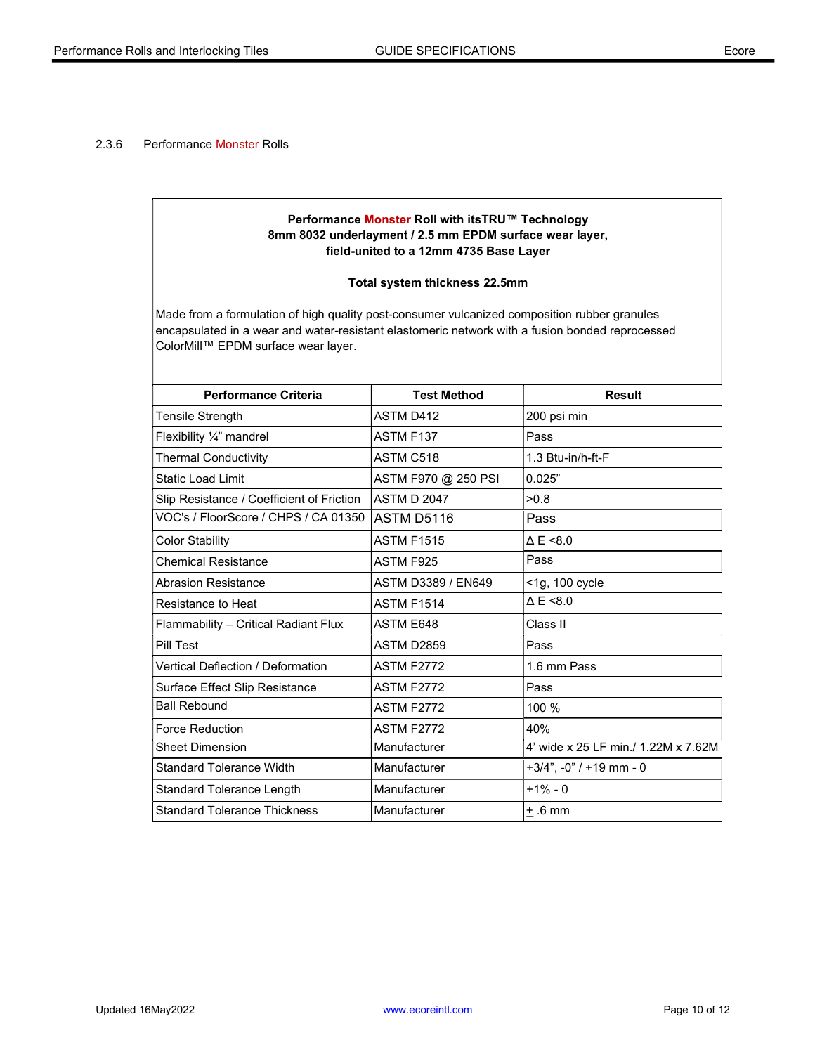#### 2.3.6 Performance Monster Rolls

# Performance Monster Roll with itsTRU™ Technology 8mm 8032 underlayment / 2.5 mm EPDM surface wear layer, field-united to a 12mm 4735 Base Layer

#### Total system thickness 22.5mm

| <b>Performance Criteria</b>               | <b>Test Method</b>  | <b>Result</b>                       |
|-------------------------------------------|---------------------|-------------------------------------|
| <b>Tensile Strength</b>                   | <b>ASTM D412</b>    | 200 psi min                         |
| Flexibility 1/4" mandrel                  | <b>ASTM F137</b>    | Pass                                |
| <b>Thermal Conductivity</b>               | ASTM C518           | 1.3 Btu-in/h-ft-F                   |
| <b>Static Load Limit</b>                  | ASTM F970 @ 250 PSI | 0.025"                              |
| Slip Resistance / Coefficient of Friction | <b>ASTM D 2047</b>  | >0.8                                |
| VOC's / FloorScore / CHPS / CA 01350      | ASTM D5116          | Pass                                |
| <b>Color Stability</b>                    | <b>ASTM F1515</b>   | $\triangle E \le 8.0$               |
| <b>Chemical Resistance</b>                | ASTM F925           | Pass                                |
| Abrasion Resistance                       | ASTM D3389 / EN649  | <1g, 100 cycle                      |
| Resistance to Heat                        | <b>ASTM F1514</b>   | $\triangle E \le 8.0$               |
| Flammability - Critical Radiant Flux      | ASTM E648           | Class II                            |
| Pill Test                                 | <b>ASTM D2859</b>   | Pass                                |
| Vertical Deflection / Deformation         | <b>ASTM F2772</b>   | 1.6 mm Pass                         |
| Surface Effect Slip Resistance            | <b>ASTM F2772</b>   | Pass                                |
| <b>Ball Rebound</b>                       | <b>ASTM F2772</b>   | 100 %                               |
| Force Reduction                           | <b>ASTM F2772</b>   | 40%                                 |
| <b>Sheet Dimension</b>                    | Manufacturer        | 4' wide x 25 LF min./ 1.22M x 7.62M |
| Standard Tolerance Width                  | Manufacturer        | $+3/4$ ", $-0$ " / $+19$ mm $-0$    |
| <b>Standard Tolerance Length</b>          | Manufacturer        | $+1\% - 0$                          |
| lStandard Tolerance Thickness             | Manufacturer        | $+ .6$ mm                           |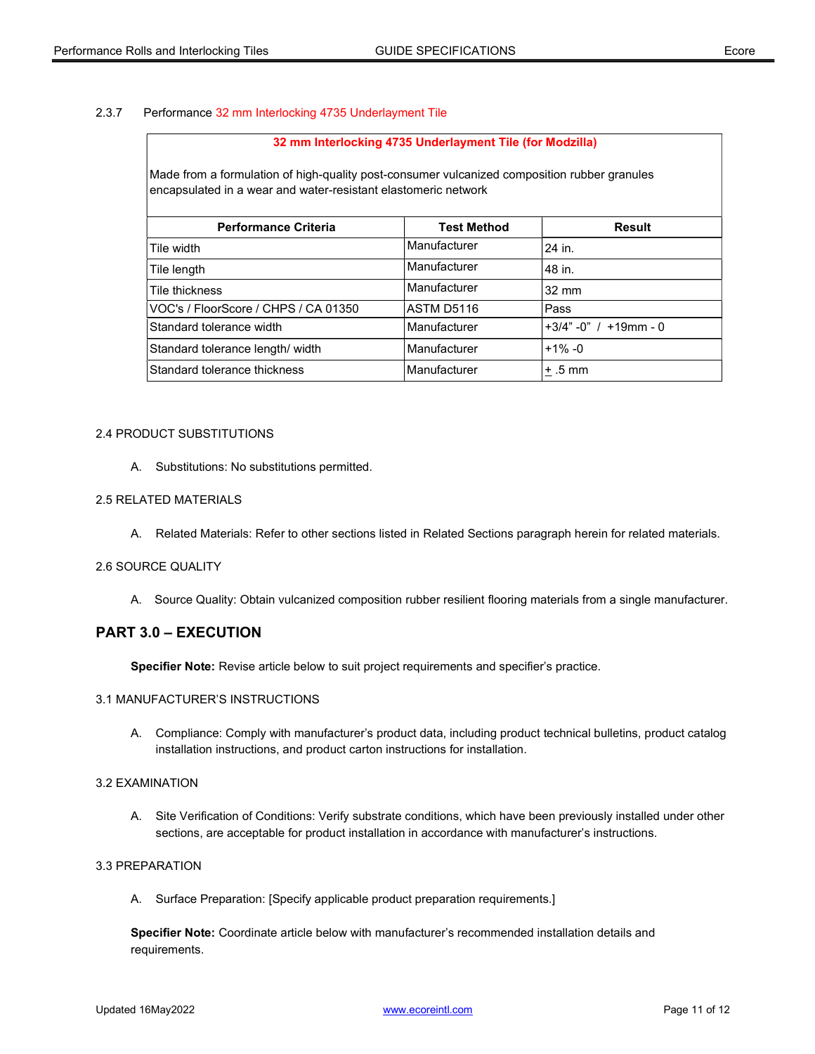#### 2.3.7 Performance 32 mm Interlocking 4735 Underlayment Tile

#### 32 mm Interlocking 4735 Underlayment Tile (for Modzilla)

Made from a formulation of high-quality post-consumer vulcanized composition rubber granules encapsulated in a wear and water-resistant elastomeric network

| <b>Test Method</b> | <b>Result</b>               |
|--------------------|-----------------------------|
| Manufacturer       | 24 in.                      |
| Manufacturer       | 48 in.                      |
| Manufacturer       | $32 \text{ mm}$             |
| ASTM D5116         | <b>Pass</b>                 |
| Manufacturer       | $+3/4$ " -0" / $+19$ mm - 0 |
| Manufacturer       | $+1\% -0$                   |
| Manufacturer       | $+ .5$ mm                   |
|                    |                             |

#### 2.4 PRODUCT SUBSTITUTIONS

A. Substitutions: No substitutions permitted.

#### 2.5 RELATED MATERIALS

A. Related Materials: Refer to other sections listed in Related Sections paragraph herein for related materials.

#### 2.6 SOURCE QUALITY

A. Source Quality: Obtain vulcanized composition rubber resilient flooring materials from a single manufacturer.

# PART 3.0 – EXECUTION

Specifier Note: Revise article below to suit project requirements and specifier's practice.

#### 3.1 MANUFACTURER'S INSTRUCTIONS

 A. Compliance: Comply with manufacturer's product data, including product technical bulletins, product catalog installation instructions, and product carton instructions for installation.

#### 3.2 EXAMINATION

 A. Site Verification of Conditions: Verify substrate conditions, which have been previously installed under other sections, are acceptable for product installation in accordance with manufacturer's instructions.

# 3.3 PREPARATION

A. Surface Preparation: [Specify applicable product preparation requirements.]

Specifier Note: Coordinate article below with manufacturer's recommended installation details and requirements.